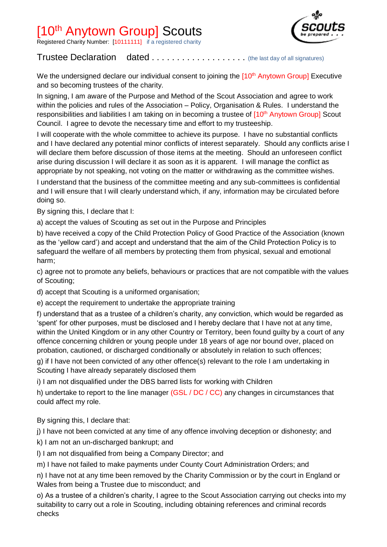## [10<sup>th</sup> Anytown Group] Scouts

**Registered Charity Number: [10111111]** if a registered charity



## Trustee Declaration dated . . . . . . . . . . . . . . . . . (the last day of all signatures)

We the undersigned declare our individual consent to joining the [10<sup>th</sup> Anytown Group] Executive and so becoming trustees of the charity.

In signing, I am aware of the Purpose and Method of the Scout Association and agree to work within the policies and rules of the Association – Policy, Organisation & Rules. I understand the responsibilities and liabilities I am taking on in becoming a trustee of  $10<sup>th</sup>$  Anytown Group] Scout Council. I agree to devote the necessary time and effort to my trusteeship.

I will cooperate with the whole committee to achieve its purpose. I have no substantial conflicts and I have declared any potential minor conflicts of interest separately. Should any conflicts arise I will declare them before discussion of those items at the meeting. Should an unforeseen conflict arise during discussion I will declare it as soon as it is apparent. I will manage the conflict as appropriate by not speaking, not voting on the matter or withdrawing as the committee wishes.

I understand that the business of the committee meeting and any sub-committees is confidential and I will ensure that I will clearly understand which, if any, information may be circulated before doing so.

By signing this, I declare that I:

a) accept the values of Scouting as set out in the Purpose and Principles

b) have received a copy of the Child Protection Policy of Good Practice of the Association (known as the 'yellow card') and accept and understand that the aim of the Child Protection Policy is to safeguard the welfare of all members by protecting them from physical, sexual and emotional harm;

c) agree not to promote any beliefs, behaviours or practices that are not compatible with the values of Scouting;

d) accept that Scouting is a uniformed organisation;

e) accept the requirement to undertake the appropriate training

f) understand that as a trustee of a children's charity, any conviction, which would be regarded as 'spent' for other purposes, must be disclosed and I hereby declare that I have not at any time, within the United Kingdom or in any other Country or Territory, been found guilty by a court of any offence concerning children or young people under 18 years of age nor bound over, placed on probation, cautioned, or discharged conditionally or absolutely in relation to such offences;

g) if I have not been convicted of any other offence(s) relevant to the role I am undertaking in Scouting I have already separately disclosed them

i) I am not disqualified under the DBS barred lists for working with Children

h) undertake to report to the line manager (GSL / DC / CC) any changes in circumstances that could affect my role.

By signing this, I declare that:

j) I have not been convicted at any time of any offence involving deception or dishonesty; and

- k) I am not an un-discharged bankrupt; and
- l) I am not disqualified from being a Company Director; and

m) I have not failed to make payments under County Court Administration Orders; and

n) I have not at any time been removed by the Charity Commission or by the court in England or Wales from being a Trustee due to misconduct; and

o) As a trustee of a children's charity, I agree to the Scout Association carrying out checks into my suitability to carry out a role in Scouting, including obtaining references and criminal records checks